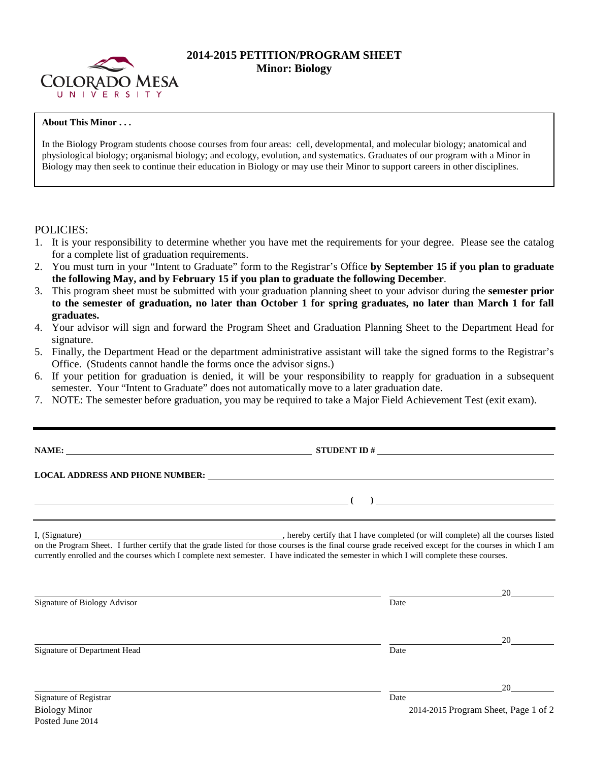

## **2014-2015 PETITION/PROGRAM SHEET Minor: Biology**

## **About This Minor . . .**

In the Biology Program students choose courses from four areas: cell, developmental, and molecular biology; anatomical and physiological biology; organismal biology; and ecology, evolution, and systematics. Graduates of our program with a Minor in Biology may then seek to continue their education in Biology or may use their Minor to support careers in other disciplines.

## POLICIES:

- 1. It is your responsibility to determine whether you have met the requirements for your degree. Please see the catalog for a complete list of graduation requirements.
- 2. You must turn in your "Intent to Graduate" form to the Registrar's Office **by September 15 if you plan to graduate the following May, and by February 15 if you plan to graduate the following December**.
- 3. This program sheet must be submitted with your graduation planning sheet to your advisor during the **semester prior to the semester of graduation, no later than October 1 for spring graduates, no later than March 1 for fall graduates.**
- 4. Your advisor will sign and forward the Program Sheet and Graduation Planning Sheet to the Department Head for signature.
- 5. Finally, the Department Head or the department administrative assistant will take the signed forms to the Registrar's Office. (Students cannot handle the forms once the advisor signs.)
- 6. If your petition for graduation is denied, it will be your responsibility to reapply for graduation in a subsequent semester. Your "Intent to Graduate" does not automatically move to a later graduation date.
- 7. NOTE: The semester before graduation, you may be required to take a Major Field Achievement Test (exit exam).

**NAME: STUDENT ID #**

**( )** 

**LOCAL ADDRESS AND PHONE NUMBER:**

I, (Signature) , hereby certify that I have completed (or will complete) all the courses listed on the Program Sheet. I further certify that the grade listed for those courses is the final course grade received except for the courses in which I am currently enrolled and the courses which I complete next semester. I have indicated the semester in which I will complete these courses.

|                              |      | 20                                   |  |
|------------------------------|------|--------------------------------------|--|
| Signature of Biology Advisor | Date |                                      |  |
|                              |      |                                      |  |
| Signature of Department Head | Date | 20                                   |  |
|                              |      |                                      |  |
|                              |      | 20                                   |  |
| Signature of Registrar       | Date |                                      |  |
| <b>Biology Minor</b>         |      | 2014-2015 Program Sheet, Page 1 of 2 |  |